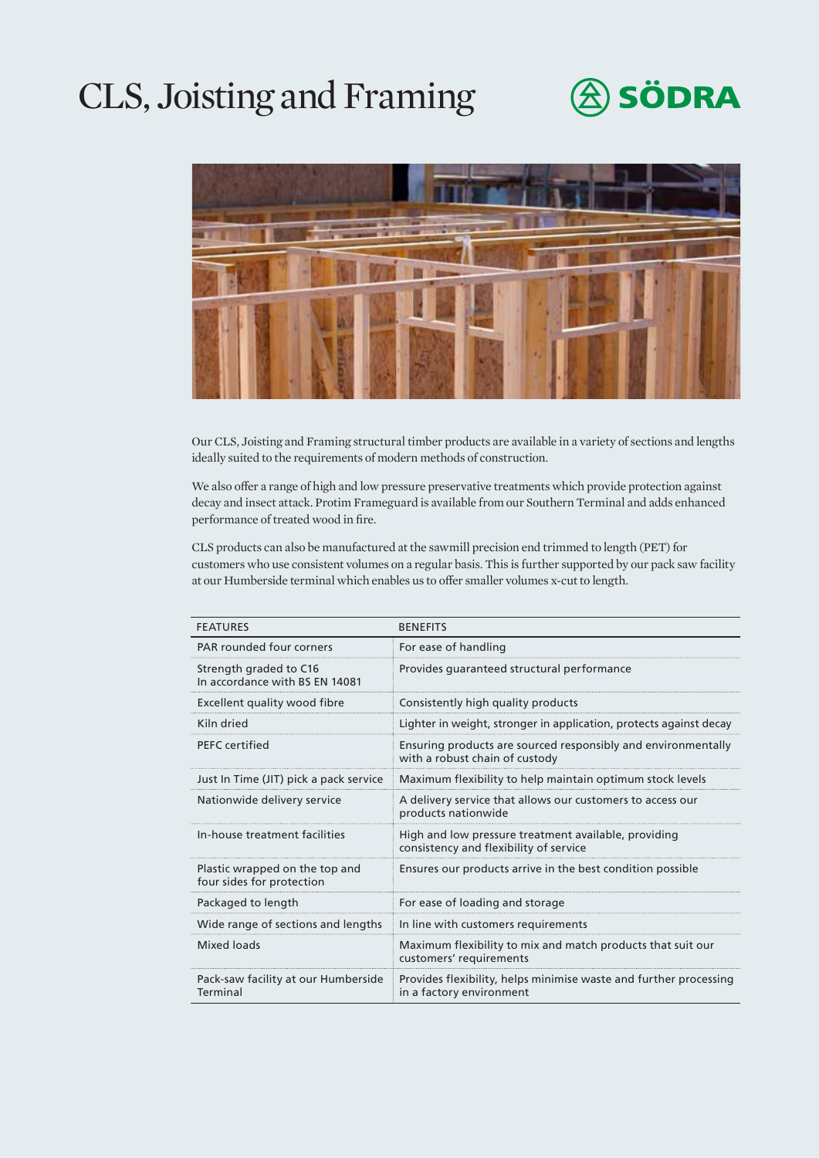# CLS, Joisting and Framing





Our CLS, Joisting and Framing structural timber products are available in a variety of sections and lengths ideally suited to the requirements of modern methods of construction.

We also offer a range of high and low pressure preservative treatments which provide protection against decay and insect attack. Protim Frameguard is available from our Southern Terminal and adds enhanced performance of treated wood in fire.

CLS products can also be manufactured at the sawmill precision end trimmed to length (PET) for customers who use consistent volumes on a regular basis. This is further supported by our pack saw facility at our Humberside terminal which enables us to offer smaller volumes x-cut to length.

| <b>FEATURES</b>                                             | <b>BENEFITS</b>                                                                                 |
|-------------------------------------------------------------|-------------------------------------------------------------------------------------------------|
| PAR rounded four corners                                    | For ease of handling                                                                            |
| Strength graded to C16<br>In accordance with BS FN 14081    | Provides quaranteed structural performance                                                      |
| Excellent quality wood fibre                                | Consistently high quality products                                                              |
| Kiln dried                                                  | Lighter in weight, stronger in application, protects against decay                              |
| <b>PFFC</b> certified                                       | Ensuring products are sourced responsibly and environmentally<br>with a robust chain of custody |
| Just In Time (JIT) pick a pack service                      | Maximum flexibility to help maintain optimum stock levels                                       |
| Nationwide delivery service                                 | A delivery service that allows our customers to access our<br>products nationwide               |
| In-house treatment facilities                               | High and low pressure treatment available, providing<br>consistency and flexibility of service  |
| Plastic wrapped on the top and<br>four sides for protection | Ensures our products arrive in the best condition possible                                      |
| Packaged to length                                          | For ease of loading and storage                                                                 |
| Wide range of sections and lengths                          | In line with customers requirements                                                             |
| Mixed loads                                                 | Maximum flexibility to mix and match products that suit our<br>customers' requirements          |
| Pack-saw facility at our Humberside<br>Terminal             | Provides flexibility, helps minimise waste and further processing<br>in a factory environment   |